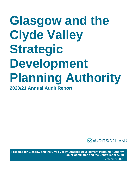# **Glasgow and the Clyde Valley Strategic Development Planning Authority 2020/21 Annual Audit Report**



**Prepared for Glasgow and the Clyde Valley Strategic Development Planning Authority Joint Committee and the Controller of Audit** September 2021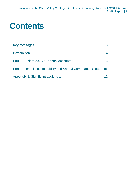## **Contents**

| Key messages                                                       |    |
|--------------------------------------------------------------------|----|
| Introduction                                                       |    |
| Part 1. Audit of 2020/21 annual accounts                           | 6  |
| Part 2. Financial sustainability and Annual Governance Statement 9 |    |
| Appendix 1. Significant audit risks                                | 12 |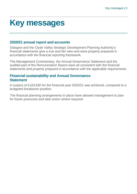# <span id="page-2-0"></span>**Key messages**

### **2020/21 annual report and accounts**

Glasgow and the Clyde Valley Strategic Development Planning Authority's financial statements give a true and fair view and were properly prepared in accordance with the financial reporting framework.

The Management Commentary, the Annual Governance Statement and the audited part of the Remuneration Report were all consistent with the financial statements and properly prepared in accordance with the applicable requirements.

### **Financial sustainability and Annual Governance Statement**

A surplus of £103,930 for the financial year 2020/21 was achieved, compared to a budgeted breakeven position.

The financial planning arrangements in place have allowed management to plan for future pressures and take action where required.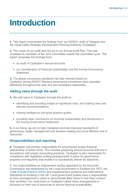## <span id="page-3-0"></span>**Introduction**

**1.** This report summarises the findings from our 2020/21 audit of Glasgow and the Clyde Valley Strategic Development Planning Authority (Clydeplan).

**2.** The scope of our audit was set out in our Annual Audit Plan. This was circulated to members of the Joint Committee outwith the committee cycle. This report comprises the findings from:

- an audit of Clydeplan's annual accounts
- our consideration of financial sustainability and the Annual Governance Statement.

**3.** The global coronavirus pandemic has had minimal impact on Clydeplan during 2020/21.Revised governance procedures have operated effectively throughout the year and are considered reasonable.

#### **Adding value through the audit**

**4.** We add value to Clydeplan through the audit by:

- identifying and providing insight on significant risks, and making clear and relevant recommendations
- sharing intelligence and good practice guides
- providing clear conclusions on financial sustainability and disclosures in the Annual Governance Statement.

**5.** In so doing, we aim to help Clydeplan promote improved standards of governance, better management and decision making and more effective use of resources.

#### **Responsibilities and reporting**

**6.** Clydeplan has primary responsibility for ensuring the proper financial stewardship of public funds. This includes preparing annual accounts that are in accordance with proper accounting practices. Clydeplan is also responsible for compliance with legislation putting arrangements in place for governance, propriety and regularity that enable it to successfully deliver its objectives.

**7.** Our responsibilities as independent auditor appointed by the Accounts Commission are established by the Local Government in Scotland Act 1973, the [Code of Audit Practice \(2016\)](http://www.audit-scotland.gov.uk/report/code-of-audit-practice-2016) and supplementary guidance and International Standards on Auditing in the UK. Local government bodies have a responsibility to have arrangements in place to demonstrate Best Value in how they conduct their activities. Our audit work on Clydeplan's Best Value arrangements is focussed on their use of resources to secure financial sustainability.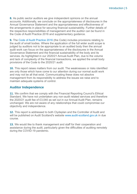**8.** As public sector auditors we give independent opinions on the annual accounts. Additionally, we conclude on the appropriateness of disclosures in the Annual Governance Statement and the appropriateness and effectiveness of the arrangements in place for securing financial sustainability. Further details of the respective responsibilities of management and the auditor can be found in the Code of Audit Practice 2016 and supplementary guidance.

**9.** The [Code of Audit Practice 2016](http://www.audit-scotland.gov.uk/report/code-of-audit-practice-2016) (the Code) includes provisions relating to the audit of small bodies. Where the application of the full wider audit scope is judged by auditors not to be appropriate to an audited body then the annual audit work can focus on the appropriateness of the disclosures in the Annual Governance Statement and the financial sustainability of the body and its services. As highlighted in our 2020/21 Annual Audit Plan, due to the volume and lack of complexity of the financial transactions, we applied the small body provisions of the Code to the 2020/21 audit.

**10.** This report raises matters from our audit. The weaknesses or risks identified are only those which have come to our attention during our normal audit work and may not be all that exist. Communicating these does not absolve management from its responsibility to address the issues we raise and to maintain adequate systems of control.

#### **Auditor Independence**

**11.** We confirm that we comply with the Financial Reporting Council's Ethical Standard. We have not undertaken any non-audit related services and therefore the 2020/21 audit fee of £3,040 as set out in our Annual Audit Plan, remains unchanged. We are not aware of any relationships that could compromise our objectivity and independence.

**12.** This report is addressed to both Clydeplan and the Controller of Audit and will be published on Audit Scotland's website [www.audit-scotland.gov.uk](http://www.audit-scotland.gov.uk/) in due course.

**13.** We would like to thank management and staff for their cooperation and assistance during the audit, particularly given the difficulties of auditing remotely during the COVID-19 pandemic.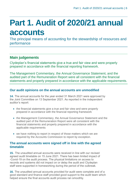# <span id="page-5-0"></span>**Part 1. Audit of 2020/21 annual accounts**

The principal means of accounting for the stewardship of resources and performance

### **Main judgements**

Clydeplan's financial statements give a true and fair view and were properly prepared in accordance with the financial reporting framework.

The Management Commentary, the Annual Governance Statement, and the audited part of the Remuneration Report were all consistent with the financial statements and properly prepared in accordance with the applicable requirements.

#### **Our audit opinions on the annual accounts are unmodified**

**14.** The annual accounts for the year ended 31 March 2021 were approved by the Joint Committee on 13 September 2021. As reported in the independent auditor's report:

- the financial statements give a true and fair view and were properly prepared in accordance with the financial reporting framework
- the Management Commentary, the Annual Governance Statement and the audited part of the Remuneration Report were all consistent with the financial statements and properly prepared in accordance with the applicable requirements
- we have nothing to report in respect of those matters which we are required by the Accounts Commission to report by exception.

#### **The annual accounts were signed off in line with the agreed timetable**

**15.** The unaudited annual accounts were received in line with our revised agreed audit timetable on 15 June 2021. There has been limited impact of -Covid-19 on the audit process. The physical limitations on access to records and systems did not impact on or delay the audit and Clydeplan staff were supported in homeworking during the period of the outbreak.

**16.** The unaudited annual accounts provided for audit were complete and of a good standard and finance staff provided good support to the audit team which helped ensure the final accounts audit process ran smoothly.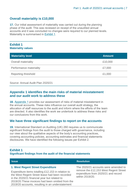#### **Overall materiality is £10,000**

**17.** Our initial assessment of materiality was carried out during the planning phase of the audit. This was reviewed on receipt of the unaudited annual accounts and it was concluded no changes were required to our planned levels. Materiality is summarised in [Exhibit](#page-6-0) 1.

#### <span id="page-6-0"></span>**Exhibit 1 Materiality values**

| <b>Materiality level</b> | <b>Amount</b> |
|--------------------------|---------------|
| Overall materiality      | £10,000       |
| Performance materiality  | £7,000        |
| Reporting threshold      | £1,000        |

#### Source: Annual Audit Plan 2020/21

#### **[Appendix 1](#page-11-0) identifies the main risks of material misstatement and our audit work to address these**

**18.** [Appendix 1](#page-11-0) provides our assessment of risks of material misstatement in the annual accounts. These risks influence our overall audit strategy, the allocation of staff resources to the audit and inform where the efforts of the team are directed. It also identifies the work we undertook to address these risks and our conclusions from this work.

#### **We have three significant findings to report on the accounts**

**19.** International Standard on Auditing (UK) 260 requires us to communicate significant findings from the audit to those charged with governance, including our view about the qualitative aspects of the body's accounting practices, covering accounting policies, accounting estimates and financial statements disclosures. We have identified the following issues per Exhibit 2.

#### **Exhibit 1**

#### **Significant findings from the audit of the financial statements**

| <b>Issue</b>                                                                                                                                                                                                                                                  | <b>Resolution</b>                                                                               |
|---------------------------------------------------------------------------------------------------------------------------------------------------------------------------------------------------------------------------------------------------------------|-------------------------------------------------------------------------------------------------|
| 1. West Regent Street Expenditure                                                                                                                                                                                                                             | The 2020/21 accounts were amended to                                                            |
| Expenditure items totalling £12,153 in relation to<br>the West Regent Street lease had been recorded<br>in the 2020/21 financial year but related to<br>2019/20. These invoices had been omitted from the<br>2019/20 accounts, resulting in an understatement | remove the £12,153 West Regent Street<br>expenditure from 2020/21 and record<br>within 2019/20. |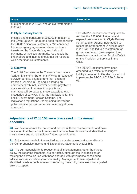| <b>Issue</b>                                                                                                                                                                                                                                                                                                                                                                                                                   | <b>Resolution</b>                                                                                                                                                                                                                                                                                                                                                                    |
|--------------------------------------------------------------------------------------------------------------------------------------------------------------------------------------------------------------------------------------------------------------------------------------------------------------------------------------------------------------------------------------------------------------------------------|--------------------------------------------------------------------------------------------------------------------------------------------------------------------------------------------------------------------------------------------------------------------------------------------------------------------------------------------------------------------------------------|
| of expenditure in 2019/20 and an overstatement in<br>2020/21.                                                                                                                                                                                                                                                                                                                                                                  |                                                                                                                                                                                                                                                                                                                                                                                      |
| 2. Clyde Estuary Forum<br>Income and expenditure of £96,000 in relation to<br>the Clyde Estuary Forum had been recorded within<br>the 2020/21 financial statements. We confirmed<br>this is an agency agreement where funds are<br>transferred by Clyde Marine, and held until<br>payments of invoices are made. As a result the<br>expenditure and income should not be recorded<br>within the financial statements.          | The 2020/21 accounts were adjusted to<br>remove the £96,000 of income and<br>expenditure in relation to Clyde Estuary<br>Forum and an Agency note added to<br>reflect the arrangement. A similar issue<br>in 2019/20 has led to a restatement of<br>gross income and gross expenditure;<br>there is no impact on the Surplus/Deficit<br>on the Provision of Services in the<br>CIES. |
| 3. Goodwin<br>The Chief Secretary to the Treasury has made a<br>'Written Ministerial Statement' (WMS) in respect of<br>survivor benefits payable from the Teachers'<br>Pension Scheme in England. Following an<br>employment tribunal, survivor benefits payable to<br>male survivors of females in opposite sex<br>marriages will be equal to those payable to other<br>categories of survivor. This has implications for the | The 2020/21 accounts have been<br>amended to a reflect a contingent<br>liability in relation to Goodwin as set out<br>in paragraphs 24-30 of CIPFA Bulletin<br>05.                                                                                                                                                                                                                   |

**Adjustments of £108,153 were processed in the annual accounts.** 

Local Government Pension Scheme. The

amended.

legislation / regulations underpinning the various public service pension schemes have not yet been

**20.** We have reviewed the nature and causes of these misstatements and have concluded that they arose from issues that have been isolated and identified in their entirety and do not indicate further systemic error.

**21.** Adjustments made in the audited accounts decreased net expenditure in the Comprehensive Income and Expenditure Statement by £12,153.

**22.** It is our responsibility to request that all misstatements, other than those below the reporting threshold, are corrected, although the final decision on making the correction lies with those charged with governance considering advice from senior officers and materiality. Management have adjusted all identified misstatements above our reporting threshold; there are no unadjusted errors to report.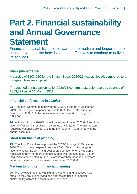# <span id="page-8-0"></span>**Part 2. Financial sustainability and Annual Governance Statement**

Financial sustainability looks forward to the medium and longer term to consider whether the body is planning effectively to continue to deliver its services

### **Main judgements**

A surplus of £103,930 for the financial year 2020/21 was achieved, compared to a budgeted breakeven position.

The audited annual accounts for 2020/21 confirm a useable reserves balance of £383,872 as at 31 March 2021.

#### **Financial performance in 2020/21**

**23.** The Joint Committee approved the 2020/21 budget in December 2019. Total budgeted expenditure was £633,500 and total budgeted income was £633,500. Requisition income remained unchanged at £579,500.

**24.** Actual outturn in 2020/21 was total expenditure of £586,843 and total income of £690,773 resulting in a surplus of £103,930. The main factors regarding variances are set out in the Management Commentary in the annual accounts.

#### **Short term financial planning**

**25.** The Joint Committee approved the 2021/22 budget in December 2020. Total budgeted expenditure was £593,400 and total budgeted income was £438,200. The largest source of income for Clydeplan is requisitions from members and this budget was reduced to £419,500. Requisitions anticipated in 2021/22 are lower than those in prior years because of a refund of earmarked reserves of £160,000.

#### **Medium to long-term financial planning**

**26.** We reviewed the financial planning systems and assessed how effective they are in identifying and addressing risks to financial sustainability across the medium and long term.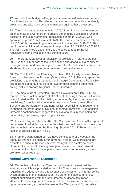**27.** As part of the budget setting process, revenue estimates are prepared for a three-year period. This allows management and members to identify pressures and take early actions to mitigate against these pressures.

**28.** The audited annual accounts for 2020/21 confirm a useable reserve balance of £383,872. In order to ensure the ongoing sustainable funding position of the Joint Committee, requisition income for 2021/22 was approved at pre-2019/20 levels of £579,500 however, as above, a refund of £160,000 is due resulting in total requisition income of £419,500. This results in an anticipated net expenditure position of £155,200 for 2021/22. The Joint Committee's expenditure is projected to require the full requisition income available in the coming years.

**29.** The pre-2019/20 level of requisition is projected in future years post 2021/22 and is important to the financial and operational sustainability of the organisation and maintaining a reserves level which should contain the short-term impact of any other unforeseen risks and events.

**30.** On 25 July 2019, the Planning (Scotland) Bill officially received Royal Assent and became the Planning (Scotland) Act 2019. The Act repeals the provisions requiring the preparation of Strategic Development Plans which are being replaced by provisions for two or more planning authorities acting jointly to prepare Regional Spatial Strategies.

**31.** The most current Clydeplan Strategic Development Plan (2017) will remain in force until the approval of National Planning Framework 4 which is anticipated in 2021. In the interim, as required by the current statutory provisions, Clydeplan will continue to prepare its Development Plan Scheme and Participation Statement, whilst recognising the requirement to support the preparation of National Planning Framework 4. In addition, Clydeplan continues to engage with key stakeholders in developing and undertaking their strategic planning activities.

**32.** At its meeting on 8 March 2021, the Clydeplan Joint Committee agreed to recommend to all eight local authorities that they continue to work jointly to discharge their duty under the Planning (Scotland) Act 2019 to prepare a Regional Spatial Strategy (RSS).

**33.** From the work carried out, we have concluded that Clydeplan has adequate financial planning arrangements in place. Cost pressures are expected to arise in the medium term, mainly due to employee costs. However, the financial planning arrangements in place have allowed management to plan for these pressures and ensure necessary actions are taken when required.

#### **Annual Governance Statement**

**34.** Our review of the Annual Governance Statement assessed the assurances which are provided to the Joint Committee and management regarding the adequacy and effectiveness of the system of internal control which operated in the financial year. The statement also summarises internal audit findings with the Chief Internal Auditor's assurance statement concluding that a 'reasonable level of assurance can be placed upon the adequacy and effectiveness of the Glasgow and Clyde Valley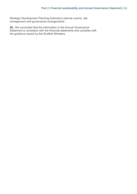Strategic Development Planning Authority's internal control, risk management and governance arrangements'.

**35.** We concluded that the information in the Annual Governance Statement is consistent with the financial statements and complies with the guidance issued by the Scottish Ministers.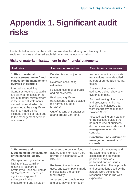# <span id="page-11-0"></span>**Appendix 1. Significant audit risks**

The table below sets out the audit risks we identified during our planning of the audit and how we addressed each risk in arriving at our conclusion.

#### **Risks of material misstatement in the financial statements**

| <b>Audit risk</b>                                                                                                                                                                                                                                                                                                                                                                                                                            | <b>Assurance procedure</b>                                                                                                                                                                                                                                                                         | <b>Results and conclusions</b>                                                                                                                                                                                                                                                                                                                                                                         |
|----------------------------------------------------------------------------------------------------------------------------------------------------------------------------------------------------------------------------------------------------------------------------------------------------------------------------------------------------------------------------------------------------------------------------------------------|----------------------------------------------------------------------------------------------------------------------------------------------------------------------------------------------------------------------------------------------------------------------------------------------------|--------------------------------------------------------------------------------------------------------------------------------------------------------------------------------------------------------------------------------------------------------------------------------------------------------------------------------------------------------------------------------------------------------|
| 1. Risk of material<br>misstatement due to fraud<br>caused by the management<br>override of controls<br><b>International Auditing</b><br>Standards require that audits<br>are planned to consider the<br>risk of material misstatement<br>in the financial statements<br>caused by fraud, which is<br>presumed to be a significant<br>risk in any audit. This<br>includes the risk of fraud due<br>to the management override<br>of controls | Detailed testing of journal<br>entries.<br>Reviewed accounting<br>estimates.<br>Focused testing of accruals<br>and prepayments.<br><b>Evaluated significant</b><br>transactions that are outside<br>the normal course of<br>business.<br>Cut off testing of transaction<br>at and around year-end. | No unusual or inappropriate<br>transactions were identified<br>as part of our detailed journal<br>testing.<br>A review of accounting<br>estimates did not show any<br>evidence of bias.<br>Focused testing of accruals<br>and prepayments did not<br>identify any balances that<br>were incorrectly held on the<br><b>Balance Sheet.</b><br>Focused testing on a sample<br>of transactions outside the |
|                                                                                                                                                                                                                                                                                                                                                                                                                                              |                                                                                                                                                                                                                                                                                                    | normal course of business<br>did not show any evidence of<br>management override of<br>controls.                                                                                                                                                                                                                                                                                                       |
|                                                                                                                                                                                                                                                                                                                                                                                                                                              |                                                                                                                                                                                                                                                                                                    | <b>Conclusion: no evidence of</b><br>management override of<br>controls.                                                                                                                                                                                                                                                                                                                               |
| 2. Estimates and<br>judgements in the valuation<br>of the pension liability                                                                                                                                                                                                                                                                                                                                                                  | Assessed the pension fund<br>actuary and information they<br>provide in accordance with                                                                                                                                                                                                            | A review of the actuary and<br>the assumptions made in<br>calculating the estimated                                                                                                                                                                                                                                                                                                                    |
| Clydeplan recognised a net<br>liability of £0.202 million<br>relating to its share of<br><b>Strathclyde Pension Fund at</b><br>31 March 2020. There is a<br>significant degree of                                                                                                                                                                                                                                                            | <b>ISA 500.</b><br>Reviewed the estimates<br>used, and assumptions made<br>in calculating the pension<br>fund liability.                                                                                                                                                                           | pension liability was<br>performed and no issues<br>were identified. The approach<br>and assumptions used by the<br>actuary were considered<br>reasonable and in line with<br>expectation.                                                                                                                                                                                                             |
| subjectivity in the<br>measurement and valuation                                                                                                                                                                                                                                                                                                                                                                                             | Assessed the completeness<br>and accuracy of information                                                                                                                                                                                                                                           |                                                                                                                                                                                                                                                                                                                                                                                                        |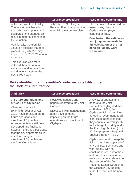work programme relevant to

Regional Spatial Strategy for the Glasgow City Region under the terms of the new

the delivery of the first

Act.

| <b>Assurance procedure</b>                                                                                                                                                                                                                                                                                                            | <b>Results and conclusions</b>                                                                           |
|---------------------------------------------------------------------------------------------------------------------------------------------------------------------------------------------------------------------------------------------------------------------------------------------------------------------------------------|----------------------------------------------------------------------------------------------------------|
| of the pension fund liability.<br>submitted to Strathclyde<br>Pension Fund to support the<br>triennial valuation exercise.<br>specialist assumptions and<br>estimates, and changes can<br>result in material changes to<br>valuation exercise that took<br>reasonable.<br>impact on the 2020/21 annual<br>valuations and set employer | The triennial valuation did not<br>result in any change to<br>Clydeplan's employer<br>contribution rate. |
|                                                                                                                                                                                                                                                                                                                                       | <b>Conclusion: the estimates</b><br>and judgements made in                                               |
|                                                                                                                                                                                                                                                                                                                                       | the calculation of the net<br>pension liability were                                                     |
|                                                                                                                                                                                                                                                                                                                                       |                                                                                                          |
|                                                                                                                                                                                                                                                                                                                                       |                                                                                                          |

#### **Risks identified from the auditor's wider responsibility under the Code of Audit Practice**

| <b>Audit risk</b>                                                                                                                                                                                                                                                                                                                                    | <b>Assurance procedure</b>                                                                                                                                                                    | <b>Results and conclusions</b>                                                                                                                                                                                                                                                                                                                                   |
|------------------------------------------------------------------------------------------------------------------------------------------------------------------------------------------------------------------------------------------------------------------------------------------------------------------------------------------------------|-----------------------------------------------------------------------------------------------------------------------------------------------------------------------------------------------|------------------------------------------------------------------------------------------------------------------------------------------------------------------------------------------------------------------------------------------------------------------------------------------------------------------------------------------------------------------|
| 3. Future operations and<br>structure of Clydeplan<br>Changes in legislation<br>(Planning (Scotland) Act<br>2019) have impacted on the<br>future operations and<br>structure of Clydeplan.<br>Arrangements are still being<br>developed and finalised,<br>however, there is a possibility<br>that the developments could<br>result in changes to the | Reviewed updates and<br>papers reported to the Joint<br>Committee.<br>Discussed with management<br>about developments<br>impacting on the future<br>operations and structure of<br>Clydeplan. | A review of updates and<br>papers to the Joint<br>Committee highlighted that<br>on 8 March 2021, the<br><b>Clydeplan Joint Committee</b><br>agreed to recommend to all<br>eight local authorities that<br>they continue to work jointly<br>to discharge their duty under<br>the Planning (Scotland) Act<br>2019 to prepare a Regional<br>Spatial Strategy (RSS). |
| structure of Clydeplan and<br>the Joint Committee.                                                                                                                                                                                                                                                                                                   |                                                                                                                                                                                               | Clydeplan intend to keep the<br>Joint Committee apprised of<br>any significant changes and<br>work closely with its<br>constituent local authorities<br>and partners to develop a                                                                                                                                                                                |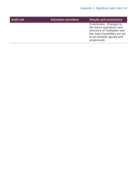| <b>Audit risk</b> | <b>Assurance procedure</b> | <b>Results and conclusions</b>                                                                                                                                      |
|-------------------|----------------------------|---------------------------------------------------------------------------------------------------------------------------------------------------------------------|
|                   |                            | <b>Conclusion: Changes to</b><br>the future operations and<br>structure of Clydeplan and<br>the Joint Committee are yet<br>to be formally agreed and<br>progressed. |